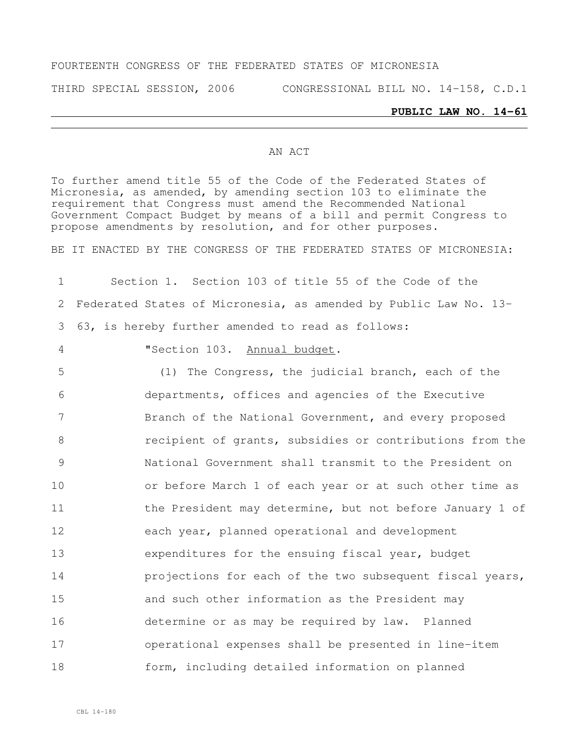### FOURTEENTH CONGRESS OF THE FEDERATED STATES OF MICRONESIA

THIRD SPECIAL SESSION, 2006 CONGRESSIONAL BILL NO. 14-158, C.D.1

#### **PUBLIC LAW NO. 14-61**

### AN ACT

To further amend title 55 of the Code of the Federated States of Micronesia, as amended, by amending section 103 to eliminate the requirement that Congress must amend the Recommended National Government Compact Budget by means of a bill and permit Congress to propose amendments by resolution, and for other purposes.

BE IT ENACTED BY THE CONGRESS OF THE FEDERATED STATES OF MICRONESIA:

1 Section 1. Section 103 of title 55 of the Code of the 2 Federated States of Micronesia, as amended by Public Law No. 13- 3 63, is hereby further amended to read as follows:

## 4 "Section 103. Annual budget.

 (1) The Congress, the judicial branch, each of the departments, offices and agencies of the Executive Branch of the National Government, and every proposed recipient of grants, subsidies or contributions from the National Government shall transmit to the President on or before March 1 of each year or at such other time as 11 the President may determine, but not before January 1 of each year, planned operational and development expenditures for the ensuing fiscal year, budget **projections for each of the two subsequent fiscal years,**  and such other information as the President may determine or as may be required by law. Planned operational expenses shall be presented in line-item form, including detailed information on planned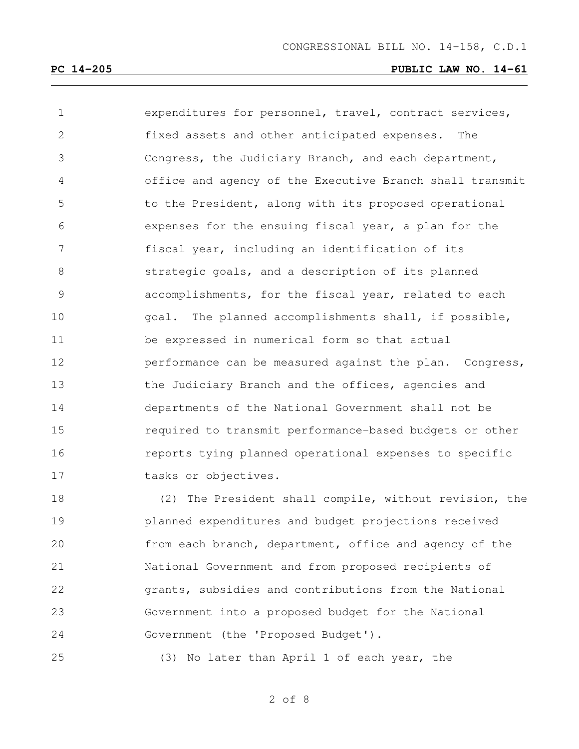expenditures for personnel, travel, contract services, fixed assets and other anticipated expenses. The Congress, the Judiciary Branch, and each department, office and agency of the Executive Branch shall transmit to the President, along with its proposed operational expenses for the ensuing fiscal year, a plan for the fiscal year, including an identification of its strategic goals, and a description of its planned accomplishments, for the fiscal year, related to each goal. The planned accomplishments shall, if possible, be expressed in numerical form so that actual **performance can be measured against the plan.** Congress, 13 the Judiciary Branch and the offices, agencies and departments of the National Government shall not be required to transmit performance-based budgets or other reports tying planned operational expenses to specific 17 tasks or objectives.

 (2) The President shall compile, without revision, the planned expenditures and budget projections received from each branch, department, office and agency of the National Government and from proposed recipients of grants, subsidies and contributions from the National Government into a proposed budget for the National Government (the 'Proposed Budget').

(3) No later than April 1 of each year, the

of 8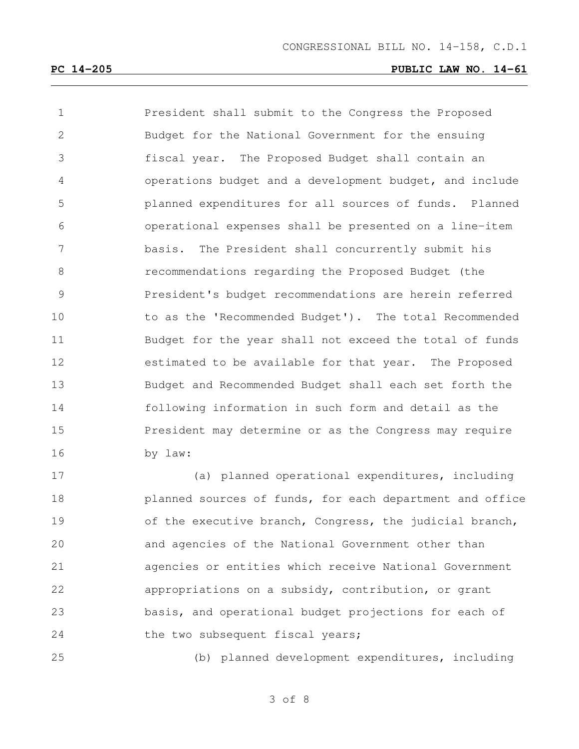President shall submit to the Congress the Proposed Budget for the National Government for the ensuing fiscal year. The Proposed Budget shall contain an operations budget and a development budget, and include planned expenditures for all sources of funds. Planned operational expenses shall be presented on a line-item basis. The President shall concurrently submit his recommendations regarding the Proposed Budget (the President's budget recommendations are herein referred to as the 'Recommended Budget'). The total Recommended Budget for the year shall not exceed the total of funds estimated to be available for that year. The Proposed Budget and Recommended Budget shall each set forth the following information in such form and detail as the 15 President may determine or as the Congress may require by law:

 (a) planned operational expenditures, including planned sources of funds, for each department and office 19 of the executive branch, Congress, the judicial branch, and agencies of the National Government other than agencies or entities which receive National Government appropriations on a subsidy, contribution, or grant basis, and operational budget projections for each of 24 the two subsequent fiscal years;

(b) planned development expenditures, including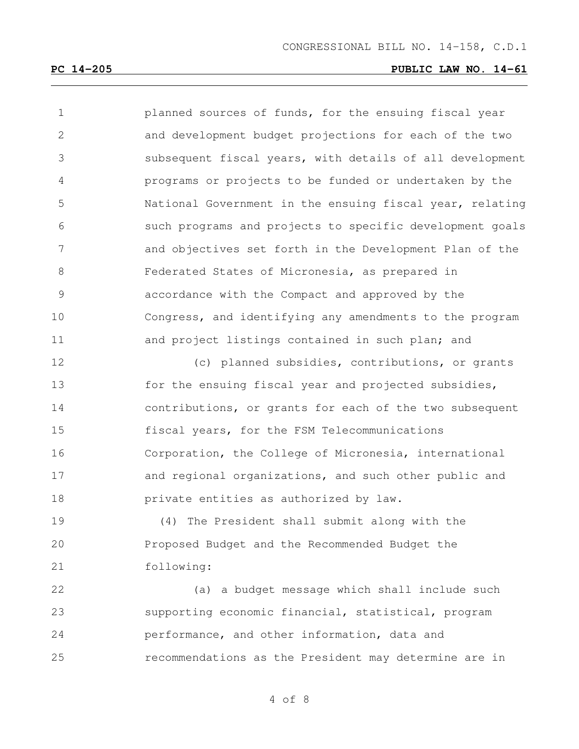planned sources of funds, for the ensuing fiscal year and development budget projections for each of the two subsequent fiscal years, with details of all development programs or projects to be funded or undertaken by the National Government in the ensuing fiscal year, relating such programs and projects to specific development goals and objectives set forth in the Development Plan of the Federated States of Micronesia, as prepared in accordance with the Compact and approved by the Congress, and identifying any amendments to the program and project listings contained in such plan; and

 (c) planned subsidies, contributions, or grants 13 for the ensuing fiscal year and projected subsidies, contributions, or grants for each of the two subsequent fiscal years, for the FSM Telecommunications Corporation, the College of Micronesia, international and regional organizations, and such other public and private entities as authorized by law.

 (4) The President shall submit along with the Proposed Budget and the Recommended Budget the following:

 (a) a budget message which shall include such supporting economic financial, statistical, program performance, and other information, data and recommendations as the President may determine are in

of 8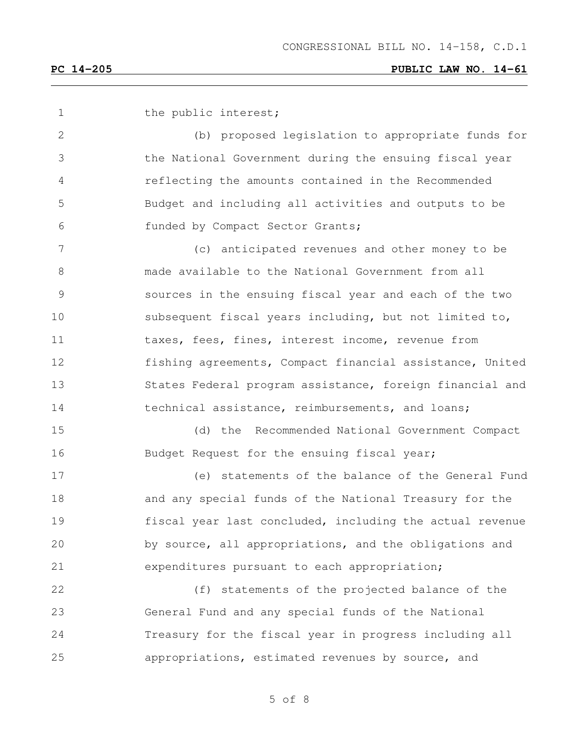1 the public interest; (b) proposed legislation to appropriate funds for the National Government during the ensuing fiscal year reflecting the amounts contained in the Recommended Budget and including all activities and outputs to be funded by Compact Sector Grants; (c) anticipated revenues and other money to be made available to the National Government from all sources in the ensuing fiscal year and each of the two subsequent fiscal years including, but not limited to, 11 taxes, fees, fines, interest income, revenue from fishing agreements, Compact financial assistance, United States Federal program assistance, foreign financial and 14 technical assistance, reimbursements, and loans; (d) the Recommended National Government Compact 16 Budget Request for the ensuing fiscal year; (e) statements of the balance of the General Fund and any special funds of the National Treasury for the fiscal year last concluded, including the actual revenue by source, all appropriations, and the obligations and expenditures pursuant to each appropriation; (f) statements of the projected balance of the General Fund and any special funds of the National Treasury for the fiscal year in progress including all appropriations, estimated revenues by source, and

of 8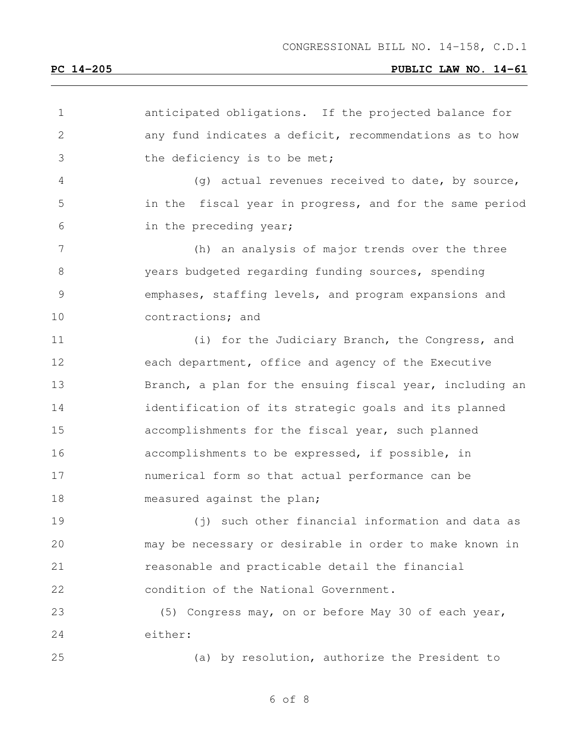# **PC 14-205 PUBLIC LAW NO. 14-61**

| $\mathbf 1$  | anticipated obligations. If the projected balance for    |
|--------------|----------------------------------------------------------|
| $\mathbf{2}$ | any fund indicates a deficit, recommendations as to how  |
| 3            | the deficiency is to be met;                             |
| 4            | (g) actual revenues received to date, by source,         |
| 5            | in the fiscal year in progress, and for the same period  |
| 6            | in the preceding year;                                   |
| 7            | (h) an analysis of major trends over the three           |
| 8            | years budgeted regarding funding sources, spending       |
| 9            | emphases, staffing levels, and program expansions and    |
| 10           | contractions; and                                        |
| 11           | (i) for the Judiciary Branch, the Congress, and          |
| 12           | each department, office and agency of the Executive      |
| 13           | Branch, a plan for the ensuing fiscal year, including an |
| 14           | identification of its strategic goals and its planned    |
| 15           | accomplishments for the fiscal year, such planned        |
| 16           | accomplishments to be expressed, if possible, in         |
| 17           | numerical form so that actual performance can be         |
| 18           | measured against the plan;                               |
| 19           | (j) such other financial information and data as         |
| 20           | may be necessary or desirable in order to make known in  |
| 21           | reasonable and practicable detail the financial          |
| 22           | condition of the National Government.                    |
| 23           | (5) Congress may, on or before May 30 of each year,      |
| 24           | either:                                                  |
| 25           | (a) by resolution, authorize the President to            |
|              |                                                          |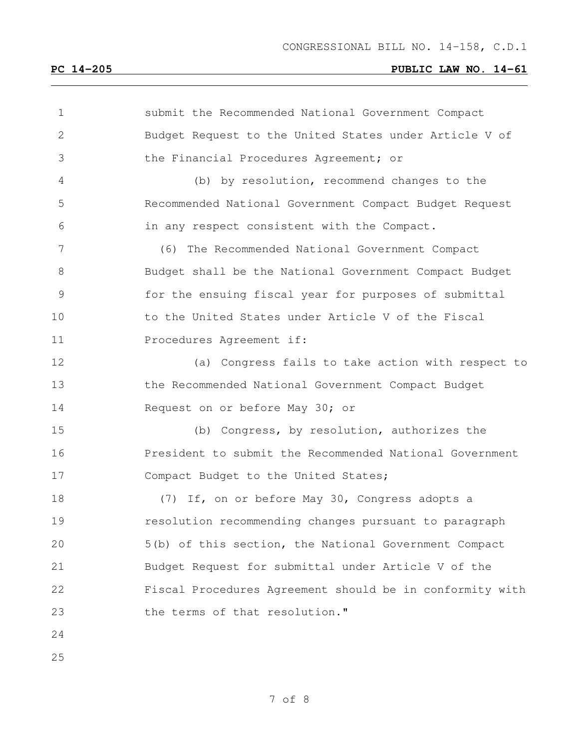# **PC 14-205 PUBLIC LAW NO. 14-61**

| $\mathbf 1$    | submit the Recommended National Government Compact       |
|----------------|----------------------------------------------------------|
| $\mathbf{2}$   | Budget Request to the United States under Article V of   |
| 3              | the Financial Procedures Agreement; or                   |
| 4              | (b) by resolution, recommend changes to the              |
| 5              | Recommended National Government Compact Budget Request   |
| 6              | in any respect consistent with the Compact.              |
| $7\phantom{.}$ | (6) The Recommended National Government Compact          |
| 8              | Budget shall be the National Government Compact Budget   |
| 9              | for the ensuing fiscal year for purposes of submittal    |
| 10             | to the United States under Article V of the Fiscal       |
| 11             | Procedures Agreement if:                                 |
| 12             | (a) Congress fails to take action with respect to        |
| 13             | the Recommended National Government Compact Budget       |
| 14             | Request on or before May 30; or                          |
| 15             | (b) Congress, by resolution, authorizes the              |
| 16             | President to submit the Recommended National Government  |
| 17             | Compact Budget to the United States;                     |
| 18             | (7) If, on or before May 30, Congress adopts a           |
| 19             | resolution recommending changes pursuant to paragraph    |
| 20             | 5(b) of this section, the National Government Compact    |
| 21             | Budget Request for submittal under Article V of the      |
| 22             | Fiscal Procedures Agreement should be in conformity with |
| 23             | the terms of that resolution."                           |
| 24             |                                                          |
| 25             |                                                          |
|                |                                                          |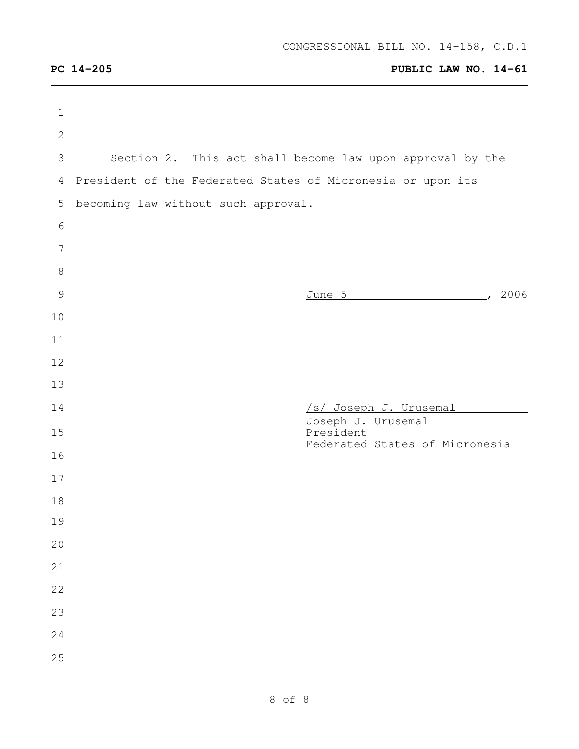| $\mathbf 1$    |                                                             |                                                           |
|----------------|-------------------------------------------------------------|-----------------------------------------------------------|
| $\overline{2}$ |                                                             |                                                           |
| 3              |                                                             | Section 2. This act shall become law upon approval by the |
| 4              | President of the Federated States of Micronesia or upon its |                                                           |
| 5              | becoming law without such approval.                         |                                                           |
| 6              |                                                             |                                                           |
| 7              |                                                             |                                                           |
| $8\,$          |                                                             |                                                           |
| $\mathcal{G}$  |                                                             | June 5 , 2006                                             |
| 10             |                                                             |                                                           |
| 11             |                                                             |                                                           |
| 12             |                                                             |                                                           |
| 13             |                                                             |                                                           |
| 14             |                                                             | /s/ Joseph J. Urusemal<br>Joseph J. Urusemal              |
| 15             |                                                             | President<br>Federated States of Micronesia               |
| 16             |                                                             |                                                           |
| 17             |                                                             |                                                           |
| 18             |                                                             |                                                           |
| 19             |                                                             |                                                           |
| 20             |                                                             |                                                           |
| 21             |                                                             |                                                           |
| 22             |                                                             |                                                           |
|                |                                                             |                                                           |
| 23             |                                                             |                                                           |
| 24<br>25       |                                                             |                                                           |